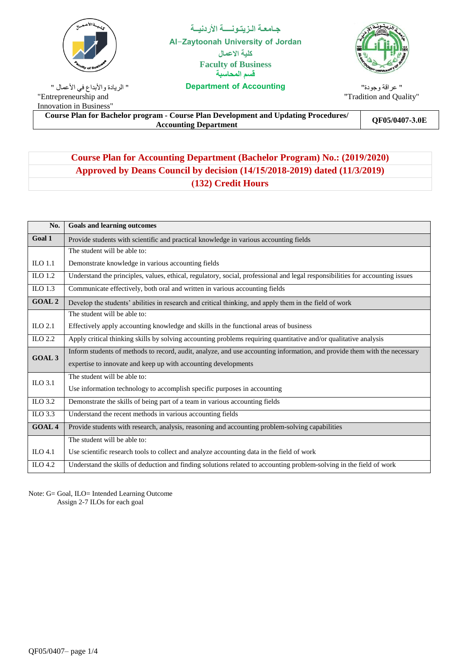

**Accounting of Department** " الريادة واألبداع في األعمال " "Entrepreneurship and Innovation in Business"

**جـامعـة الـزيتـونــــة األردنيــة Al-Zaytoonah University of Jordan كلية االعمال Faculty of Business قسم المحاسبة**



" عراقة وجودة" "Tradition and Quality"

**Course Plan for Bachelor program - Course Plan Development and Updating Procedures/** Accounting Department<br>Accounting Department

# **Course Plan for Accounting Department (Bachelor Program) No.: (2019/2020) Approved by Deans Council by decision (14/15/2018-2019) dated (11/3/2019) )132) Credit Hours**

| No.                 | <b>Goals and learning outcomes</b>                                                                                            |
|---------------------|-------------------------------------------------------------------------------------------------------------------------------|
| Goal 1              | Provide students with scientific and practical knowledge in various accounting fields                                         |
|                     | The student will be able to:                                                                                                  |
| $_{\text{ILO}}$ 1.1 | Demonstrate knowledge in various accounting fields                                                                            |
| $_{\text{ILO}}$ 1.2 | Understand the principles, values, ethical, regulatory, social, professional and legal responsibilities for accounting issues |
| $_{\text{ILO}}$ 1.3 | Communicate effectively, both oral and written in various accounting fields                                                   |
| <b>GOAL 2</b>       | Develop the students' abilities in research and critical thinking, and apply them in the field of work                        |
|                     | The student will be able to:                                                                                                  |
| ILO $2.1$           | Effectively apply accounting knowledge and skills in the functional areas of business                                         |
| $ILO$ 2.2           | Apply critical thinking skills by solving accounting problems requiring quantitative and/or qualitative analysis              |
| <b>GOAL 3</b>       | Inform students of methods to record, audit, analyze, and use accounting information, and provide them with the necessary     |
|                     | expertise to innovate and keep up with accounting developments                                                                |
| ILO 3.1             | The student will be able to:                                                                                                  |
|                     | Use information technology to accomplish specific purposes in accounting                                                      |
| ILO 3.2             | Demonstrate the skills of being part of a team in various accounting fields                                                   |
| $LO$ 3.3            | Understand the recent methods in various accounting fields                                                                    |
| <b>GOAL 4</b>       | Provide students with research, analysis, reasoning and accounting problem-solving capabilities                               |
|                     | The student will be able to:                                                                                                  |
| ILO $4.1$           | Use scientific research tools to collect and analyze accounting data in the field of work                                     |
| ILO $4.2$           | Understand the skills of deduction and finding solutions related to accounting problem-solving in the field of work           |

Note: G= Goal, ILO= Intended Learning Outcome Assign 2-7 ILOs for each goal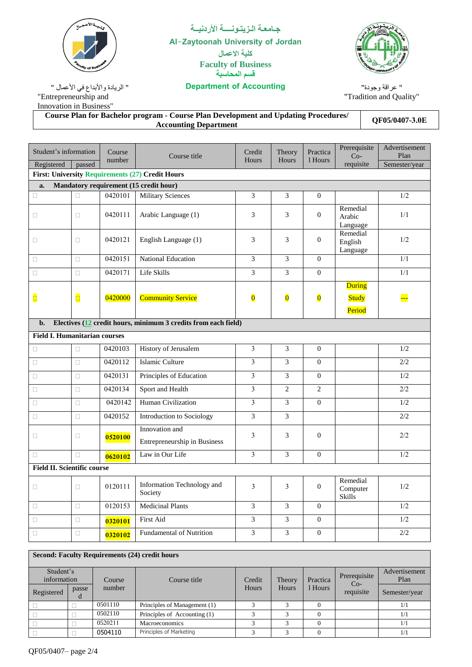| <b>Caculty of Bus</b>                                                               |        |                  | <b>Faculty of Business</b><br>قسم المحاسبة                                                                                 |                         |                         |                         | <b>PAGONAH UNIVERSIT</b>                  |                                        |
|-------------------------------------------------------------------------------------|--------|------------------|----------------------------------------------------------------------------------------------------------------------------|-------------------------|-------------------------|-------------------------|-------------------------------------------|----------------------------------------|
| " الريادة والأبداع في الأعمال "<br>"Entrepreneurship and<br>Innovation in Business" |        |                  | <b>Department of Accounting</b>                                                                                            |                         |                         |                         | " عراقة وجودة"<br>"Tradition and Quality" |                                        |
|                                                                                     |        |                  | <b>Course Plan for Bachelor program - Course Plan Development and Updating Procedures/</b><br><b>Accounting Department</b> |                         |                         |                         | QF05/0407-3.0E                            |                                        |
|                                                                                     |        |                  |                                                                                                                            |                         |                         |                         |                                           |                                        |
| Student's information<br>Registered                                                 | passed | Course<br>number | Course title                                                                                                               | Credit<br>Hours         | Theory<br>Hours         | Practica<br>1 Hours     | Prerequisite<br>$Co-$<br>requisite        | Advertisement<br>Plan<br>Semester/year |
|                                                                                     |        |                  | <b>First: University Requirements (27) Credit Hours</b>                                                                    |                         |                         |                         |                                           |                                        |
| a.                                                                                  |        |                  | Mandatory requirement (15 credit hour)                                                                                     |                         |                         |                         |                                           |                                        |
| $\Box$                                                                              | $\Box$ | 0420101          | <b>Military Sciences</b>                                                                                                   | 3                       | 3                       | $\Omega$                |                                           | 1/2                                    |
| □                                                                                   | 0      | 0420111          | Arabic Language (1)                                                                                                        | 3                       | 3                       | $\Omega$                | Remedial<br>Arabic<br>Language            | 1/1                                    |
| $\Box$                                                                              | □      | 0420121          | English Language (1)                                                                                                       | 3                       | 3                       | $\overline{0}$          | Remedial<br>English<br>Language           | 1/2                                    |
| □                                                                                   | 0      | 0420151          | <b>National Education</b>                                                                                                  | 3                       | 3                       | $\Omega$                |                                           | 1/1                                    |
| П                                                                                   | П      | 0420171          | Life Skills                                                                                                                | 3                       | 3                       | $\Omega$                |                                           | 1/1                                    |
| $\Box$                                                                              | O      | 0420000          | <b>Community Service</b>                                                                                                   | $\overline{\mathbf{0}}$ | $\overline{\mathbf{0}}$ | $\overline{\mathbf{0}}$ | <b>During</b><br><b>Study</b><br>Period   | <mark></mark>                          |
| b.                                                                                  |        |                  | Electives (12 credit hours, minimum 3 credits from each field)                                                             |                         |                         |                         |                                           |                                        |
| <b>Field I. Humanitarian courses</b>                                                |        |                  |                                                                                                                            |                         |                         |                         |                                           |                                        |
| П                                                                                   | о      | 0420103          | History of Jerusalem                                                                                                       | 3                       | 3                       | $\overline{0}$          |                                           | 1/2                                    |
| $\Box$                                                                              | о      | 0420112          | Islamic Culture                                                                                                            | $\overline{3}$          | 3                       | $\Omega$                |                                           | 2/2                                    |
| П                                                                                   | о      | 0420131          | Principles of Education                                                                                                    | 3                       | 3                       | $\Omega$                |                                           | 1/2                                    |
| П                                                                                   | П      | 0420134          | Sport and Health                                                                                                           | $\overline{3}$          | $\overline{2}$          | $\overline{2}$          |                                           | 2/2                                    |
| □                                                                                   | □      | 0420142          | Human Civilization                                                                                                         | 3                       | 3                       | $\overline{0}$          |                                           | 1/2                                    |
| Ω                                                                                   | □      | 0420152          | Introduction to Sociology                                                                                                  | 3                       | 3                       |                         |                                           | 2/2                                    |
| $\Box$                                                                              | □      | 0520100          | Innovation and<br>Entrepreneurship in Business                                                                             | $\mathfrak{Z}$          | 3                       | $\overline{0}$          |                                           | 2/2                                    |
| $\Box$                                                                              | $\Box$ | 0620102          | Law in Our Life                                                                                                            | $\overline{3}$          | 3                       | $\overline{0}$          |                                           | 1/2                                    |
| <b>Field II. Scientific course</b>                                                  |        |                  |                                                                                                                            |                         |                         |                         |                                           |                                        |
| $\Box$                                                                              | о      | 0120111          | Information Technology and<br>Society                                                                                      | 3                       | 3                       | $\mathbf{0}$            | Remedial<br>Computer<br>Skills            | 1/2                                    |
| □                                                                                   | □      | 0120153          | <b>Medicinal Plants</b>                                                                                                    | 3                       | 3                       | $\overline{0}$          |                                           | 1/2                                    |
| $\Box$                                                                              | $\Box$ | 0320101          | First Aid                                                                                                                  | 3                       | 3                       | $\overline{0}$          |                                           | 1/2                                    |
| $\Box$                                                                              | $\Box$ | 0320102          | Fundamental of Nutrition                                                                                                   | 3                       | $\overline{3}$          | $\Omega$                |                                           | $2/2$                                  |
| <b>Second: Faculty Requirements (24) credit hours</b>                               |        |                  |                                                                                                                            |                         |                         |                         |                                           |                                        |
| Student's<br>information<br>Registered                                              | passe  | Course<br>number | Course title                                                                                                               | Credit<br>Hours         | Theory<br>Hours         | Practica<br>1 Hours     | Prerequisite<br>$Co-$<br>requisite        | Advertisement<br>Plan<br>Semester/year |
| $\Box$                                                                              | d<br>П | 0501110          | Principles of Management (1)                                                                                               | $\mathfrak{Z}$          | 3                       | $\overline{0}$          |                                           | 1/1                                    |

□ 0502110 Principles of Accounting (1) 3 3 0 1/1<br>□ 0520211 Macroeconomics 3 3 0 1/1

 $\Box$  0520211 Macroeconomics 3 3 0 1  $\Box$  |  $\Box$  | [0504110](http://egate.zuj.edu.jo/edugate/ui/guest/majorPlans/index/facultiesMajorsIndex.faces) | Principles of Marketing |  $\Box$  3 |  $\Box$  0 |  $\Box$  | 1/1

**جـامعـة الـزيتـونــــة األردنيــة Al-Zaytoonah University of Jordan كلية االعمال**

## QF05/0407– page 2/4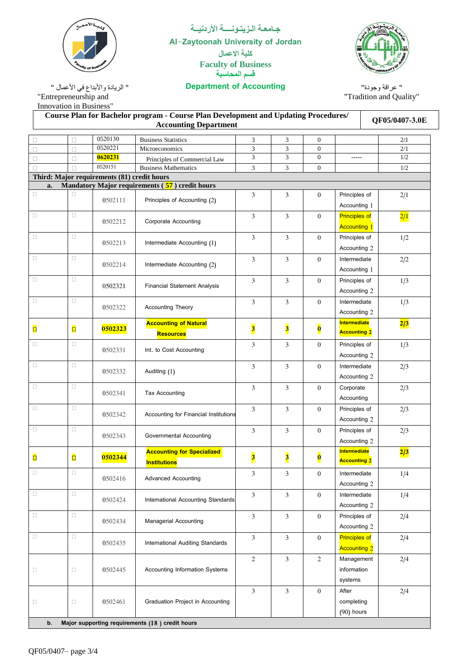"Entrepreneurship and Innovation in Business"

### **جـامعـة الـزيتـونــــة األردنيــة Al-Zaytoonah University of Jordan كلية االعمال Faculty of Business قسم المحاسبة**

### **Accounting of Department** " الريادة واألبداع في األعمال "

**Course Plan for Bachelor program - Course Plan Development and Updating Procedures/ QF05/0407-3.0E**<br>Accounting Department

" عراقة وجودة" "Tradition and Quality"

| $\Box$       | □      | 0520130                                     | <b>Business Statistics</b>                       | 3                       | 3                       | $\boldsymbol{0}$        |                      | 2/1           |
|--------------|--------|---------------------------------------------|--------------------------------------------------|-------------------------|-------------------------|-------------------------|----------------------|---------------|
| $\Box$       | $\Box$ | 0520221                                     | Microeconomics                                   | 3                       | 3                       | $\mathbf{0}$            |                      | 2/1           |
| $\Box$       | $\Box$ | 0620231                                     | Principles of Commercial Law                     | 3                       | 3                       | $\boldsymbol{0}$        | $- - - - -$          | 1/2           |
| $\Box$       |        | 0520151                                     | <b>Business Mathematics</b>                      | 3                       | 3                       | $\boldsymbol{0}$        |                      | 1/2           |
|              |        | Third: Major requirements (81) credit hours |                                                  |                         |                         |                         |                      |               |
| a.<br>$\Box$ | O      |                                             | Mandatory Major requirements $(57)$ credit hours |                         |                         |                         |                      |               |
|              |        | 0502111                                     | Principles of Accounting (2)                     | 3                       | 3                       | $\boldsymbol{0}$        | Principles of        | 2/1           |
|              |        |                                             |                                                  |                         |                         |                         | Accounting 1         |               |
| $\Box$       | $\Box$ | 0502212                                     | <b>Corporate Accounting</b>                      | 3                       | 3                       | $\boldsymbol{0}$        | <b>Principles of</b> | $\frac{2}{1}$ |
|              |        |                                             |                                                  |                         |                         |                         | <b>Accounting 1</b>  |               |
| $\Box$       | $\Box$ | 0502213                                     | Intermediate Accounting (1)                      | 3                       | 3                       | $\boldsymbol{0}$        | Principles of        | 1/2           |
|              |        |                                             |                                                  |                         |                         |                         | Accounting 2         |               |
| $\Box$       | $\Box$ |                                             |                                                  | 3                       | 3                       | $\boldsymbol{0}$        | Intermediate         | 2/2           |
|              |        | 0502214                                     | Intermediate Accounting (2)                      |                         |                         |                         | Accounting 1         |               |
| $\Box$       | $\Box$ |                                             |                                                  | 3                       | 3                       | $\boldsymbol{0}$        | Principles of        | 1/3           |
|              |        | 0502321                                     | <b>Financial Statement Analysis</b>              |                         |                         |                         | Accounting 2         |               |
| $\Box$       | $\Box$ |                                             |                                                  | 3                       | 3                       | $\boldsymbol{0}$        | Intermediate         | 1/3           |
|              |        | 0502322                                     | <b>Accounting Theory</b>                         |                         |                         |                         | Accounting 2         |               |
|              |        |                                             | <b>Accounting of Natural</b>                     |                         |                         |                         | <b>Intermediate</b>  |               |
| $\Box$       | $\Box$ | 0502323                                     |                                                  | $\overline{\mathbf{3}}$ | $\overline{\mathbf{3}}$ | $\overline{\textbf{0}}$ | <b>Accounting 2</b>  | 2/3           |
| $\Box$       |        |                                             | <b>Resources</b>                                 |                         |                         |                         |                      |               |
|              | $\Box$ | 0502331                                     | Int. to Cost Accounting                          | 3                       | 3                       | $\boldsymbol{0}$        | Principles of        | 1/3           |
|              |        |                                             |                                                  |                         |                         |                         | Accounting 2         |               |
| $\Box$       | $\Box$ | 0502332                                     | Auditing (1)                                     | 3                       | 3                       | $\mathbf{0}$            | Intermediate         | 2/3           |
|              |        |                                             |                                                  |                         |                         |                         | Accounting 2         |               |
| $\Box$       | $\Box$ | 0502341                                     | <b>Tax Accounting</b>                            | 3                       | 3                       | $\boldsymbol{0}$        | Corporate            | 2/3           |
|              |        |                                             |                                                  |                         |                         |                         | Accounting           |               |
| $\Box$       | $\Box$ |                                             |                                                  | $\overline{3}$          | 3                       | $\boldsymbol{0}$        | Principles of        | 2/3           |
|              |        | 0502342                                     | Accounting for Financial Institutions            |                         |                         |                         | Accounting 2         |               |
| $\Box$       | $\Box$ |                                             |                                                  | $\overline{3}$          | 3                       | $\mathbf{0}$            | Principles of        | 2/3           |
|              |        | 0502343                                     | Governmental Accounting                          |                         |                         |                         | Accounting 2         |               |
|              |        |                                             | <b>Accounting for Specialized</b>                |                         |                         |                         | Intermediate         | 2/3           |
| $\Box$       | $\Box$ | 0502344                                     | <b>Institutions</b>                              | $\overline{\mathbf{3}}$ | $\overline{\mathbf{3}}$ | $\overline{\mathbf{0}}$ | <b>Accounting 2</b>  |               |
| $\Box$       | $\Box$ |                                             |                                                  | 3                       | 3                       | $\boldsymbol{0}$        | Intermediate         | 1/4           |
|              |        | 0502416                                     | <b>Advanced Accounting</b>                       |                         |                         |                         | Accounting 2         |               |
| $\Box$       | о      |                                             |                                                  |                         |                         |                         |                      |               |
|              |        | 0502424                                     | International Accounting Standards               | 3                       | 3                       | $\boldsymbol{0}$        | Intermediate         | 1/4           |
|              |        |                                             |                                                  |                         |                         |                         | Accounting 2         |               |
| $\Box$       | $\Box$ | 0502434                                     | <b>Managerial Accounting</b>                     | $\overline{3}$          | 3                       | $\boldsymbol{0}$        | Principles of        | 2/4           |
|              |        |                                             |                                                  |                         |                         |                         | Accounting 2         |               |
| $\Box$       | $\Box$ | 0502435                                     | International Auditing Standards                 | $\overline{3}$          | 3                       | $\boldsymbol{0}$        | <b>Principles of</b> | 2/4           |
|              |        |                                             |                                                  |                         |                         |                         | <b>Accounting 2</b>  |               |
|              |        |                                             |                                                  | $\sqrt{2}$              | 3                       | $\overline{c}$          | Management           | 2/4           |
| $\Box$       | $\Box$ | 0502445                                     | Accounting Information Systems                   |                         |                         |                         | information          |               |
|              |        |                                             |                                                  |                         |                         |                         | systems              |               |
|              |        |                                             |                                                  | $\overline{3}$          | 3                       | $\boldsymbol{0}$        | After                | 2/4           |
| $\Box$       | $\Box$ | 0502461                                     | Graduation Project in Accounting                 |                         |                         |                         | completing           |               |
|              |        |                                             |                                                  |                         |                         |                         | $(90)$ hours         |               |
| b.           |        |                                             | Major supporting requirements (18) credit hours  |                         |                         |                         |                      |               |
|              |        |                                             |                                                  |                         |                         |                         |                      |               |